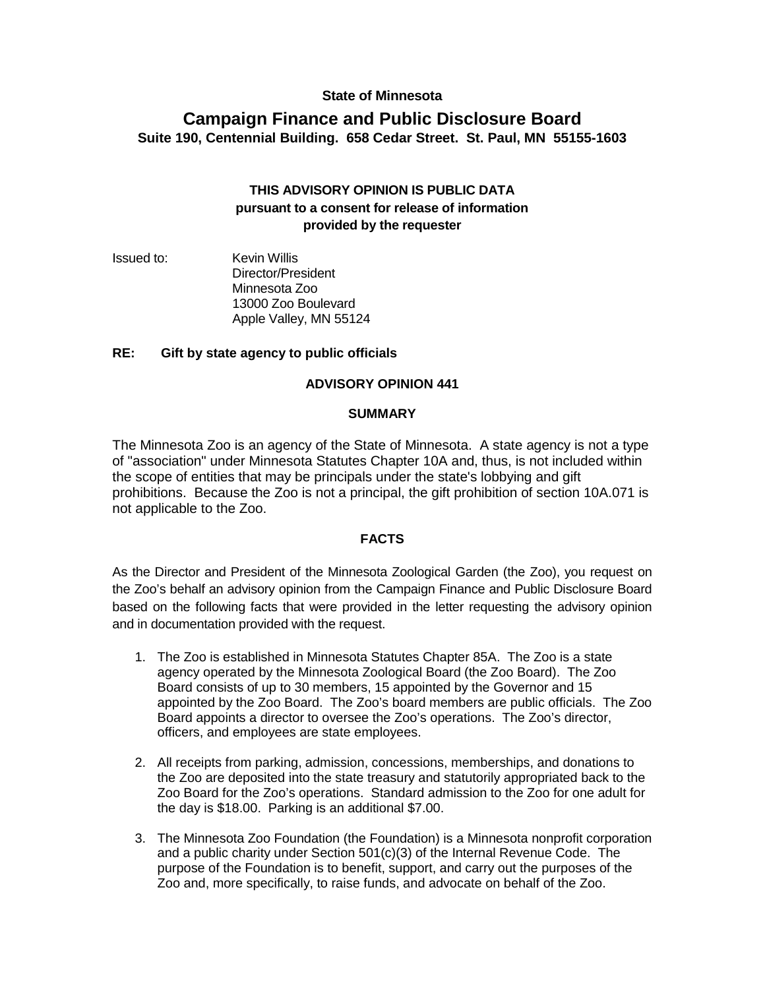### **State of Minnesota**

# **Campaign Finance and Public Disclosure Board Suite 190, Centennial Building. 658 Cedar Street. St. Paul, MN 55155-1603**

## **THIS ADVISORY OPINION IS PUBLIC DATA pursuant to a consent for release of information provided by the requester**

Issued to: Kevin Willis Director/President Minnesota Zoo 13000 Zoo Boulevard Apple Valley, MN 55124

#### **RE: Gift by state agency to public officials**

#### **ADVISORY OPINION 441**

#### **SUMMARY**

The Minnesota Zoo is an agency of the State of Minnesota. A state agency is not a type of "association" under Minnesota Statutes Chapter 10A and, thus, is not included within the scope of entities that may be principals under the state's lobbying and gift prohibitions. Because the Zoo is not a principal, the gift prohibition of section 10A.071 is not applicable to the Zoo.

#### **FACTS**

As the Director and President of the Minnesota Zoological Garden (the Zoo), you request on the Zoo's behalf an advisory opinion from the Campaign Finance and Public Disclosure Board based on the following facts that were provided in the letter requesting the advisory opinion and in documentation provided with the request.

- 1. The Zoo is established in Minnesota Statutes Chapter 85A. The Zoo is a state agency operated by the Minnesota Zoological Board (the Zoo Board). The Zoo Board consists of up to 30 members, 15 appointed by the Governor and 15 appointed by the Zoo Board. The Zoo's board members are public officials. The Zoo Board appoints a director to oversee the Zoo's operations. The Zoo's director, officers, and employees are state employees.
- 2. All receipts from parking, admission, concessions, memberships, and donations to the Zoo are deposited into the state treasury and statutorily appropriated back to the Zoo Board for the Zoo's operations. Standard admission to the Zoo for one adult for the day is \$18.00. Parking is an additional \$7.00.
- 3. The Minnesota Zoo Foundation (the Foundation) is a Minnesota nonprofit corporation and a public charity under Section 501(c)(3) of the Internal Revenue Code. The purpose of the Foundation is to benefit, support, and carry out the purposes of the Zoo and, more specifically, to raise funds, and advocate on behalf of the Zoo.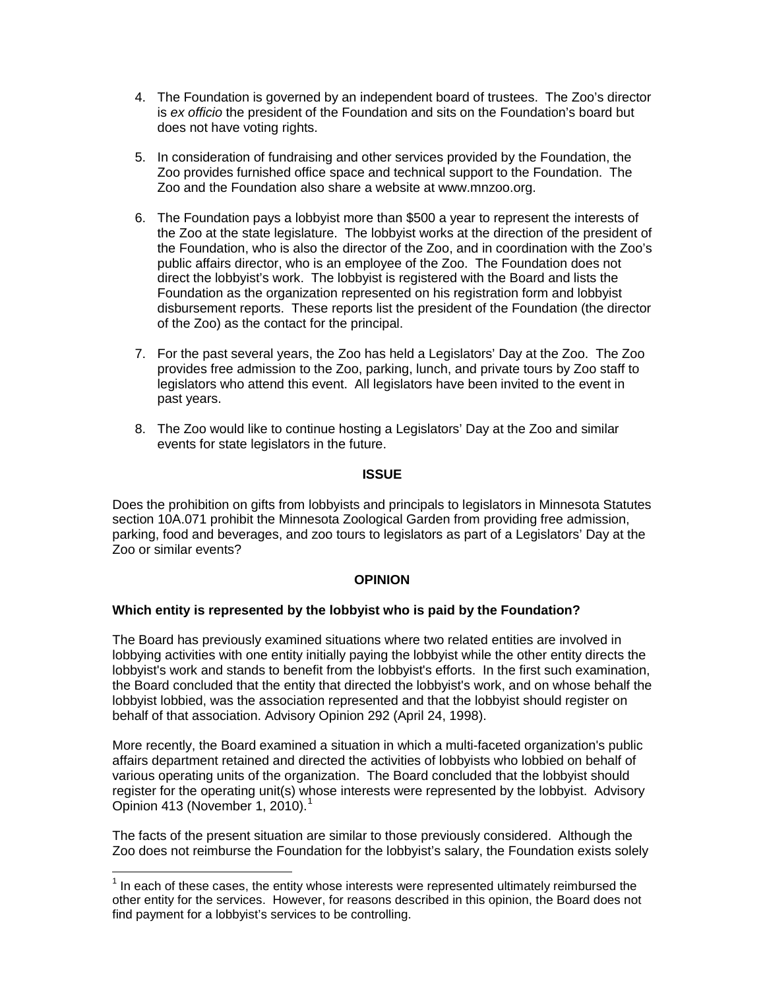- 4. The Foundation is governed by an independent board of trustees. The Zoo's director is *ex officio* the president of the Foundation and sits on the Foundation's board but does not have voting rights.
- 5. In consideration of fundraising and other services provided by the Foundation, the Zoo provides furnished office space and technical support to the Foundation. The Zoo and the Foundation also share a website at www.mnzoo.org.
- 6. The Foundation pays a lobbyist more than \$500 a year to represent the interests of the Zoo at the state legislature. The lobbyist works at the direction of the president of the Foundation, who is also the director of the Zoo, and in coordination with the Zoo's public affairs director, who is an employee of the Zoo. The Foundation does not direct the lobbyist's work. The lobbyist is registered with the Board and lists the Foundation as the organization represented on his registration form and lobbyist disbursement reports. These reports list the president of the Foundation (the director of the Zoo) as the contact for the principal.
- 7. For the past several years, the Zoo has held a Legislators' Day at the Zoo. The Zoo provides free admission to the Zoo, parking, lunch, and private tours by Zoo staff to legislators who attend this event. All legislators have been invited to the event in past years.
- 8. The Zoo would like to continue hosting a Legislators' Day at the Zoo and similar events for state legislators in the future.

#### **ISSUE**

Does the prohibition on gifts from lobbyists and principals to legislators in Minnesota Statutes section 10A.071 prohibit the Minnesota Zoological Garden from providing free admission, parking, food and beverages, and zoo tours to legislators as part of a Legislators' Day at the Zoo or similar events?

### **OPINION**

### **Which entity is represented by the lobbyist who is paid by the Foundation?**

The Board has previously examined situations where two related entities are involved in lobbying activities with one entity initially paying the lobbyist while the other entity directs the lobbyist's work and stands to benefit from the lobbyist's efforts. In the first such examination, the Board concluded that the entity that directed the lobbyist's work, and on whose behalf the lobbyist lobbied, was the association represented and that the lobbyist should register on behalf of that association. Advisory Opinion 292 (April 24, 1998).

More recently, the Board examined a situation in which a multi-faceted organization's public affairs department retained and directed the activities of lobbyists who lobbied on behalf of various operating units of the organization. The Board concluded that the lobbyist should register for the operating unit(s) whose interests were represented by the lobbyist. Advisory Opinion 413 (November 1, 2010). [1](#page-1-0)

The facts of the present situation are similar to those previously considered. Although the Zoo does not reimburse the Foundation for the lobbyist's salary, the Foundation exists solely

<span id="page-1-0"></span> $1$  In each of these cases, the entity whose interests were represented ultimately reimbursed the other entity for the services. However, for reasons described in this opinion, the Board does not find payment for a lobbyist's services to be controlling.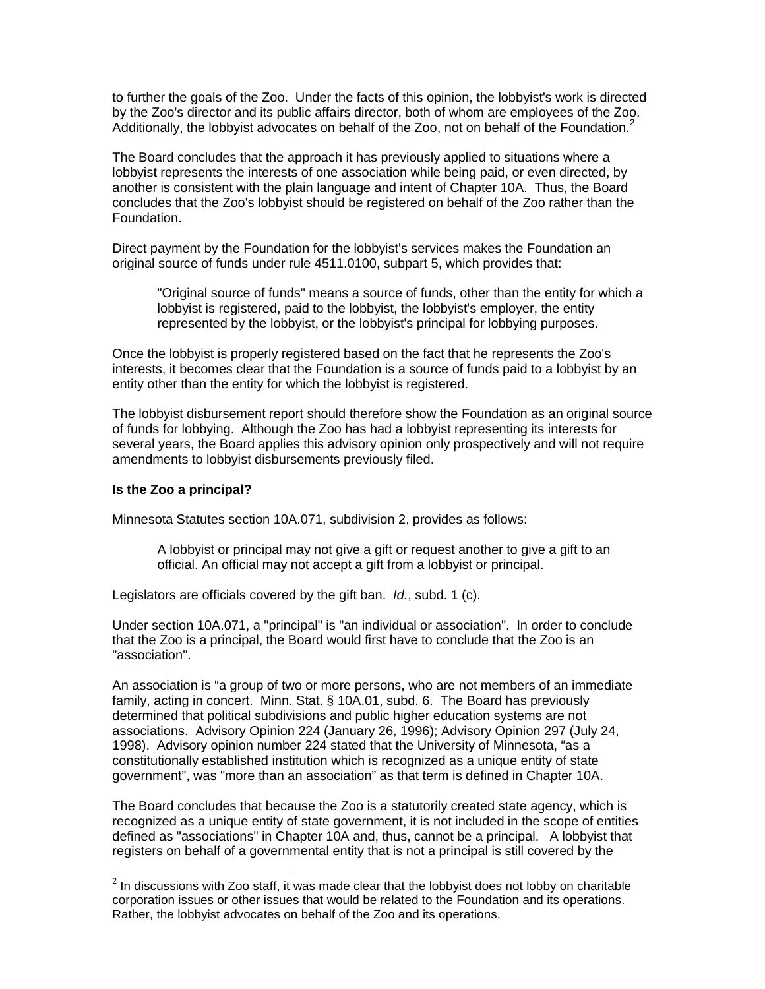to further the goals of the Zoo. Under the facts of this opinion, the lobbyist's work is directed by the Zoo's director and its public affairs director, both of whom are employees of the Zoo. Additionally, the lobbyist advocates on behalf of the Zoo, not on behalf of the Foundation.<sup>[2](#page-2-0)</sup>

The Board concludes that the approach it has previously applied to situations where a lobbyist represents the interests of one association while being paid, or even directed, by another is consistent with the plain language and intent of Chapter 10A. Thus, the Board concludes that the Zoo's lobbyist should be registered on behalf of the Zoo rather than the Foundation.

Direct payment by the Foundation for the lobbyist's services makes the Foundation an original source of funds under rule 4511.0100, subpart 5, which provides that:

"Original source of funds" means a source of funds, other than the entity for which a lobbyist is registered, paid to the lobbyist, the lobbyist's employer, the entity represented by the lobbyist, or the lobbyist's principal for lobbying purposes.

Once the lobbyist is properly registered based on the fact that he represents the Zoo's interests, it becomes clear that the Foundation is a source of funds paid to a lobbyist by an entity other than the entity for which the lobbyist is registered.

The lobbyist disbursement report should therefore show the Foundation as an original source of funds for lobbying. Although the Zoo has had a lobbyist representing its interests for several years, the Board applies this advisory opinion only prospectively and will not require amendments to lobbyist disbursements previously filed.

#### **Is the Zoo a principal?**

Minnesota Statutes section 10A.071, subdivision 2, provides as follows:

A lobbyist or principal may not give a gift or request another to give a gift to an official. An official may not accept a gift from a lobbyist or principal.

Legislators are officials covered by the gift ban. *Id.*, subd. 1 (c).

Under section 10A.071, a "principal" is "an individual or association". In order to conclude that the Zoo is a principal, the Board would first have to conclude that the Zoo is an "association".

An association is "a group of two or more persons, who are not members of an immediate family, acting in concert. Minn. Stat. § 10A.01, subd. 6. The Board has previously determined that political subdivisions and public higher education systems are not associations. Advisory Opinion 224 (January 26, 1996); Advisory Opinion 297 (July 24, 1998). Advisory opinion number 224 stated that the University of Minnesota, "as a constitutionally established institution which is recognized as a unique entity of state government", was "more than an association" as that term is defined in Chapter 10A.

The Board concludes that because the Zoo is a statutorily created state agency, which is recognized as a unique entity of state government, it is not included in the scope of entities defined as "associations" in Chapter 10A and, thus, cannot be a principal. A lobbyist that registers on behalf of a governmental entity that is not a principal is still covered by the

<span id="page-2-0"></span> $2$  In discussions with Zoo staff, it was made clear that the lobbyist does not lobby on charitable corporation issues or other issues that would be related to the Foundation and its operations. Rather, the lobbyist advocates on behalf of the Zoo and its operations.